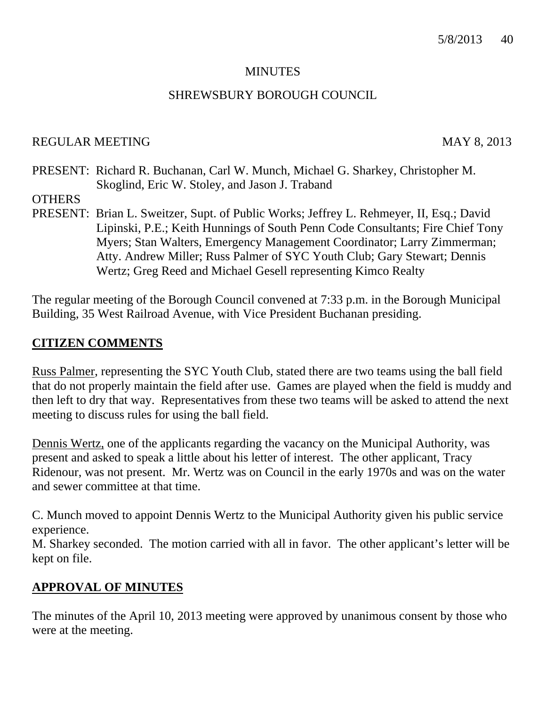#### **MINUTES**

#### SHREWSBURY BOROUGH COUNCIL

#### REGULAR MEETING MAY 8, 2013

PRESENT: Richard R. Buchanan, Carl W. Munch, Michael G. Sharkey, Christopher M. Skoglind, Eric W. Stoley, and Jason J. Traband

**OTHERS** 

PRESENT: Brian L. Sweitzer, Supt. of Public Works; Jeffrey L. Rehmeyer, II, Esq.; David Lipinski, P.E.; Keith Hunnings of South Penn Code Consultants; Fire Chief Tony Myers; Stan Walters, Emergency Management Coordinator; Larry Zimmerman; Atty. Andrew Miller; Russ Palmer of SYC Youth Club; Gary Stewart; Dennis Wertz; Greg Reed and Michael Gesell representing Kimco Realty

The regular meeting of the Borough Council convened at 7:33 p.m. in the Borough Municipal Building, 35 West Railroad Avenue, with Vice President Buchanan presiding.

#### **CITIZEN COMMENTS**

Russ Palmer, representing the SYC Youth Club, stated there are two teams using the ball field that do not properly maintain the field after use. Games are played when the field is muddy and then left to dry that way. Representatives from these two teams will be asked to attend the next meeting to discuss rules for using the ball field.

Dennis Wertz, one of the applicants regarding the vacancy on the Municipal Authority, was present and asked to speak a little about his letter of interest. The other applicant, Tracy Ridenour, was not present. Mr. Wertz was on Council in the early 1970s and was on the water and sewer committee at that time.

C. Munch moved to appoint Dennis Wertz to the Municipal Authority given his public service experience.

M. Sharkey seconded. The motion carried with all in favor. The other applicant's letter will be kept on file.

### **APPROVAL OF MINUTES**

The minutes of the April 10, 2013 meeting were approved by unanimous consent by those who were at the meeting.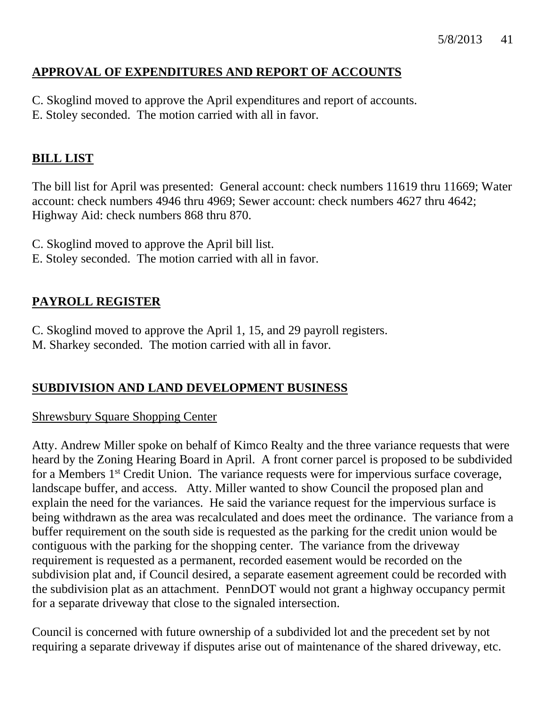### 5/8/2013 41

### **APPROVAL OF EXPENDITURES AND REPORT OF ACCOUNTS**

- C. Skoglind moved to approve the April expenditures and report of accounts.
- E. Stoley seconded. The motion carried with all in favor.

# **BILL LIST**

The bill list for April was presented: General account: check numbers 11619 thru 11669; Water account: check numbers 4946 thru 4969; Sewer account: check numbers 4627 thru 4642; Highway Aid: check numbers 868 thru 870.

- C. Skoglind moved to approve the April bill list.
- E. Stoley seconded. The motion carried with all in favor.

## **PAYROLL REGISTER**

C. Skoglind moved to approve the April 1, 15, and 29 payroll registers. M. Sharkey seconded. The motion carried with all in favor.

## **SUBDIVISION AND LAND DEVELOPMENT BUSINESS**

### Shrewsbury Square Shopping Center

Atty. Andrew Miller spoke on behalf of Kimco Realty and the three variance requests that were heard by the Zoning Hearing Board in April. A front corner parcel is proposed to be subdivided for a Members 1<sup>st</sup> Credit Union. The variance requests were for impervious surface coverage, landscape buffer, and access. Atty. Miller wanted to show Council the proposed plan and explain the need for the variances. He said the variance request for the impervious surface is being withdrawn as the area was recalculated and does meet the ordinance. The variance from a buffer requirement on the south side is requested as the parking for the credit union would be contiguous with the parking for the shopping center. The variance from the driveway requirement is requested as a permanent, recorded easement would be recorded on the subdivision plat and, if Council desired, a separate easement agreement could be recorded with the subdivision plat as an attachment. PennDOT would not grant a highway occupancy permit for a separate driveway that close to the signaled intersection.

Council is concerned with future ownership of a subdivided lot and the precedent set by not requiring a separate driveway if disputes arise out of maintenance of the shared driveway, etc.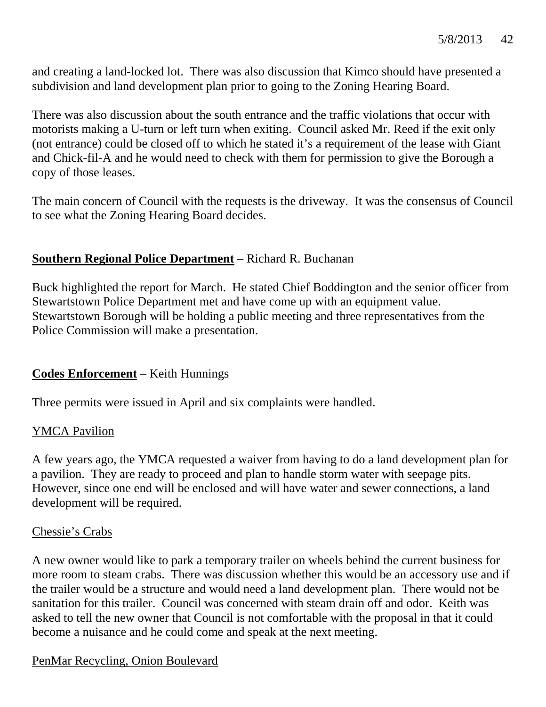and creating a land-locked lot. There was also discussion that Kimco should have presented a subdivision and land development plan prior to going to the Zoning Hearing Board.

There was also discussion about the south entrance and the traffic violations that occur with motorists making a U-turn or left turn when exiting. Council asked Mr. Reed if the exit only (not entrance) could be closed off to which he stated it's a requirement of the lease with Giant and Chick-fil-A and he would need to check with them for permission to give the Borough a copy of those leases.

The main concern of Council with the requests is the driveway. It was the consensus of Council to see what the Zoning Hearing Board decides.

### **Southern Regional Police Department** – Richard R. Buchanan

Buck highlighted the report for March. He stated Chief Boddington and the senior officer from Stewartstown Police Department met and have come up with an equipment value. Stewartstown Borough will be holding a public meeting and three representatives from the Police Commission will make a presentation.

## **Codes Enforcement** – Keith Hunnings

Three permits were issued in April and six complaints were handled.

### YMCA Pavilion

A few years ago, the YMCA requested a waiver from having to do a land development plan for a pavilion. They are ready to proceed and plan to handle storm water with seepage pits. However, since one end will be enclosed and will have water and sewer connections, a land development will be required.

#### Chessie's Crabs

A new owner would like to park a temporary trailer on wheels behind the current business for more room to steam crabs. There was discussion whether this would be an accessory use and if the trailer would be a structure and would need a land development plan. There would not be sanitation for this trailer. Council was concerned with steam drain off and odor. Keith was asked to tell the new owner that Council is not comfortable with the proposal in that it could become a nuisance and he could come and speak at the next meeting.

### PenMar Recycling, Onion Boulevard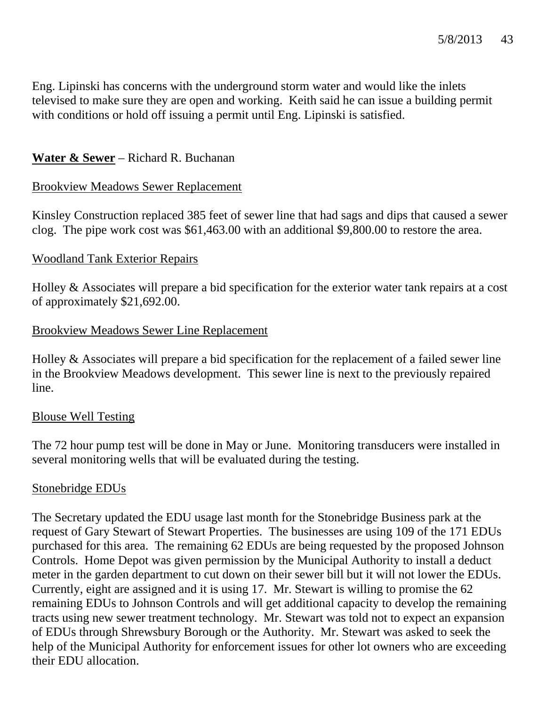Eng. Lipinski has concerns with the underground storm water and would like the inlets televised to make sure they are open and working. Keith said he can issue a building permit with conditions or hold off issuing a permit until Eng. Lipinski is satisfied.

### **Water & Sewer** – Richard R. Buchanan

### Brookview Meadows Sewer Replacement

Kinsley Construction replaced 385 feet of sewer line that had sags and dips that caused a sewer clog. The pipe work cost was \$61,463.00 with an additional \$9,800.00 to restore the area.

### Woodland Tank Exterior Repairs

Holley & Associates will prepare a bid specification for the exterior water tank repairs at a cost of approximately \$21,692.00.

### Brookview Meadows Sewer Line Replacement

Holley & Associates will prepare a bid specification for the replacement of a failed sewer line in the Brookview Meadows development. This sewer line is next to the previously repaired line.

### Blouse Well Testing

The 72 hour pump test will be done in May or June. Monitoring transducers were installed in several monitoring wells that will be evaluated during the testing.

### Stonebridge EDUs

The Secretary updated the EDU usage last month for the Stonebridge Business park at the request of Gary Stewart of Stewart Properties. The businesses are using 109 of the 171 EDUs purchased for this area. The remaining 62 EDUs are being requested by the proposed Johnson Controls. Home Depot was given permission by the Municipal Authority to install a deduct meter in the garden department to cut down on their sewer bill but it will not lower the EDUs. Currently, eight are assigned and it is using 17. Mr. Stewart is willing to promise the 62 remaining EDUs to Johnson Controls and will get additional capacity to develop the remaining tracts using new sewer treatment technology. Mr. Stewart was told not to expect an expansion of EDUs through Shrewsbury Borough or the Authority. Mr. Stewart was asked to seek the help of the Municipal Authority for enforcement issues for other lot owners who are exceeding their EDU allocation.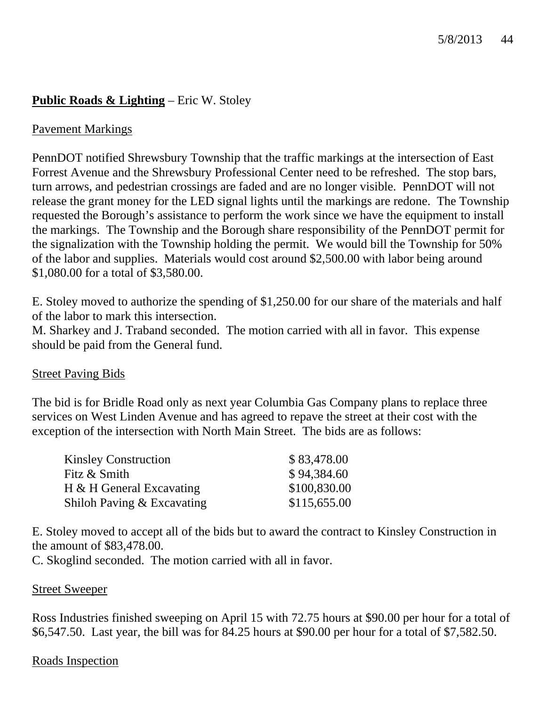# **Public Roads & Lighting** – Eric W. Stoley

### Pavement Markings

PennDOT notified Shrewsbury Township that the traffic markings at the intersection of East Forrest Avenue and the Shrewsbury Professional Center need to be refreshed. The stop bars, turn arrows, and pedestrian crossings are faded and are no longer visible. PennDOT will not release the grant money for the LED signal lights until the markings are redone. The Township requested the Borough's assistance to perform the work since we have the equipment to install the markings. The Township and the Borough share responsibility of the PennDOT permit for the signalization with the Township holding the permit. We would bill the Township for 50% of the labor and supplies. Materials would cost around \$2,500.00 with labor being around \$1,080.00 for a total of \$3,580.00.

E. Stoley moved to authorize the spending of \$1,250.00 for our share of the materials and half of the labor to mark this intersection.

M. Sharkey and J. Traband seconded. The motion carried with all in favor. This expense should be paid from the General fund.

### Street Paving Bids

The bid is for Bridle Road only as next year Columbia Gas Company plans to replace three services on West Linden Avenue and has agreed to repave the street at their cost with the exception of the intersection with North Main Street. The bids are as follows:

| <b>Kinsley Construction</b> | \$83,478.00  |
|-----------------------------|--------------|
| Fitz & Smith                | \$94,384.60  |
| H & H General Excavating    | \$100,830.00 |
| Shiloh Paving & Excavating  | \$115,655.00 |

E. Stoley moved to accept all of the bids but to award the contract to Kinsley Construction in the amount of \$83,478.00.

C. Skoglind seconded. The motion carried with all in favor.

#### Street Sweeper

Ross Industries finished sweeping on April 15 with 72.75 hours at \$90.00 per hour for a total of \$6,547.50. Last year, the bill was for 84.25 hours at \$90.00 per hour for a total of \$7,582.50.

### Roads Inspection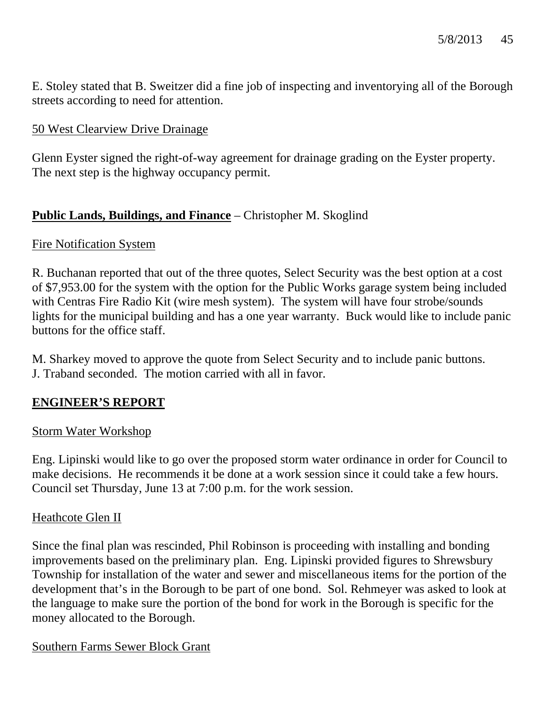E. Stoley stated that B. Sweitzer did a fine job of inspecting and inventorying all of the Borough streets according to need for attention.

### 50 West Clearview Drive Drainage

Glenn Eyster signed the right-of-way agreement for drainage grading on the Eyster property. The next step is the highway occupancy permit.

## **Public Lands, Buildings, and Finance** – Christopher M. Skoglind

### Fire Notification System

R. Buchanan reported that out of the three quotes, Select Security was the best option at a cost of \$7,953.00 for the system with the option for the Public Works garage system being included with Centras Fire Radio Kit (wire mesh system). The system will have four strobe/sounds lights for the municipal building and has a one year warranty. Buck would like to include panic buttons for the office staff.

M. Sharkey moved to approve the quote from Select Security and to include panic buttons. J. Traband seconded. The motion carried with all in favor.

## **ENGINEER'S REPORT**

### Storm Water Workshop

Eng. Lipinski would like to go over the proposed storm water ordinance in order for Council to make decisions. He recommends it be done at a work session since it could take a few hours. Council set Thursday, June 13 at 7:00 p.m. for the work session.

### Heathcote Glen II

Since the final plan was rescinded, Phil Robinson is proceeding with installing and bonding improvements based on the preliminary plan. Eng. Lipinski provided figures to Shrewsbury Township for installation of the water and sewer and miscellaneous items for the portion of the development that's in the Borough to be part of one bond. Sol. Rehmeyer was asked to look at the language to make sure the portion of the bond for work in the Borough is specific for the money allocated to the Borough.

### Southern Farms Sewer Block Grant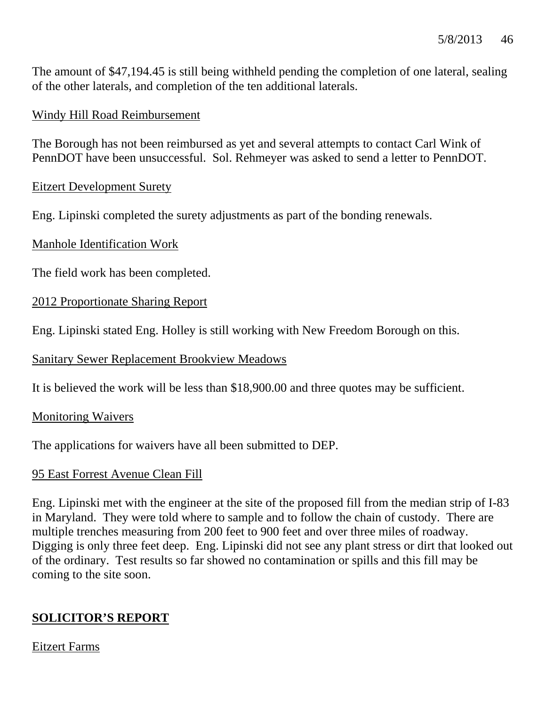The amount of \$47,194.45 is still being withheld pending the completion of one lateral, sealing of the other laterals, and completion of the ten additional laterals.

### Windy Hill Road Reimbursement

The Borough has not been reimbursed as yet and several attempts to contact Carl Wink of PennDOT have been unsuccessful. Sol. Rehmeyer was asked to send a letter to PennDOT.

#### Eitzert Development Surety

Eng. Lipinski completed the surety adjustments as part of the bonding renewals.

Manhole Identification Work

The field work has been completed.

2012 Proportionate Sharing Report

Eng. Lipinski stated Eng. Holley is still working with New Freedom Borough on this.

Sanitary Sewer Replacement Brookview Meadows

It is believed the work will be less than \$18,900.00 and three quotes may be sufficient.

Monitoring Waivers

The applications for waivers have all been submitted to DEP.

### 95 East Forrest Avenue Clean Fill

Eng. Lipinski met with the engineer at the site of the proposed fill from the median strip of I-83 in Maryland. They were told where to sample and to follow the chain of custody. There are multiple trenches measuring from 200 feet to 900 feet and over three miles of roadway. Digging is only three feet deep. Eng. Lipinski did not see any plant stress or dirt that looked out of the ordinary. Test results so far showed no contamination or spills and this fill may be coming to the site soon.

## **SOLICITOR'S REPORT**

### Eitzert Farms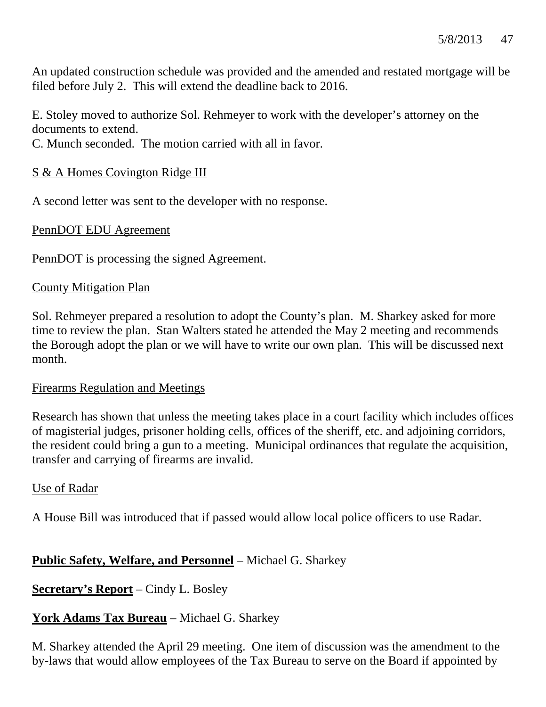An updated construction schedule was provided and the amended and restated mortgage will be filed before July 2. This will extend the deadline back to 2016.

E. Stoley moved to authorize Sol. Rehmeyer to work with the developer's attorney on the documents to extend.

C. Munch seconded. The motion carried with all in favor.

## S & A Homes Covington Ridge III

A second letter was sent to the developer with no response.

PennDOT EDU Agreement

PennDOT is processing the signed Agreement.

### County Mitigation Plan

Sol. Rehmeyer prepared a resolution to adopt the County's plan. M. Sharkey asked for more time to review the plan. Stan Walters stated he attended the May 2 meeting and recommends the Borough adopt the plan or we will have to write our own plan. This will be discussed next month.

### Firearms Regulation and Meetings

Research has shown that unless the meeting takes place in a court facility which includes offices of magisterial judges, prisoner holding cells, offices of the sheriff, etc. and adjoining corridors, the resident could bring a gun to a meeting. Municipal ordinances that regulate the acquisition, transfer and carrying of firearms are invalid.

### Use of Radar

A House Bill was introduced that if passed would allow local police officers to use Radar.

## **Public Safety, Welfare, and Personnel** – Michael G. Sharkey

**Secretary's Report** – Cindy L. Bosley

## **York Adams Tax Bureau** – Michael G. Sharkey

M. Sharkey attended the April 29 meeting. One item of discussion was the amendment to the by-laws that would allow employees of the Tax Bureau to serve on the Board if appointed by